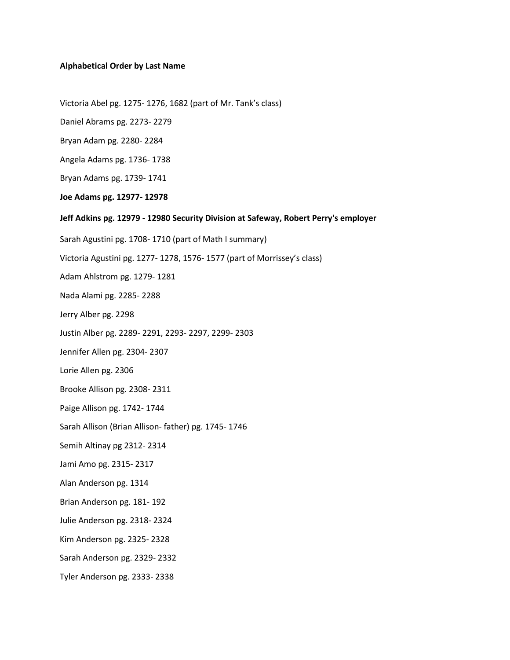# **Alphabetical Order by Last Name**

Victoria Abel pg. 1275- 1276, 1682 (part of Mr. Tank's class)

Daniel Abrams pg. 2273- 2279

Bryan Adam pg. 2280- 2284

Angela Adams pg. 1736- 1738

Bryan Adams pg. 1739- 1741

**Joe Adams pg. 12977- 12978**

**Jeff Adkins pg. 12979 - 12980 Security Division at Safeway, Robert Perry's employer**

Sarah Agustini pg. 1708- 1710 (part of Math I summary)

Victoria Agustini pg. 1277- 1278, 1576- 1577 (part of Morrissey's class)

Adam Ahlstrom pg. 1279- 1281

Nada Alami pg. 2285- 2288

Jerry Alber pg. 2298

Justin Alber pg. 2289- 2291, 2293- 2297, 2299- 2303

Jennifer Allen pg. 2304- 2307

Lorie Allen pg. 2306

Brooke Allison pg. 2308- 2311

Paige Allison pg. 1742- 1744

Sarah Allison (Brian Allison- father) pg. 1745- 1746

Semih Altinay pg 2312- 2314

Jami Amo pg. 2315- 2317

Alan Anderson pg. 1314

Brian Anderson pg. 181- 192

Julie Anderson pg. 2318- 2324

Kim Anderson pg. 2325- 2328

Sarah Anderson pg. 2329- 2332

Tyler Anderson pg. 2333- 2338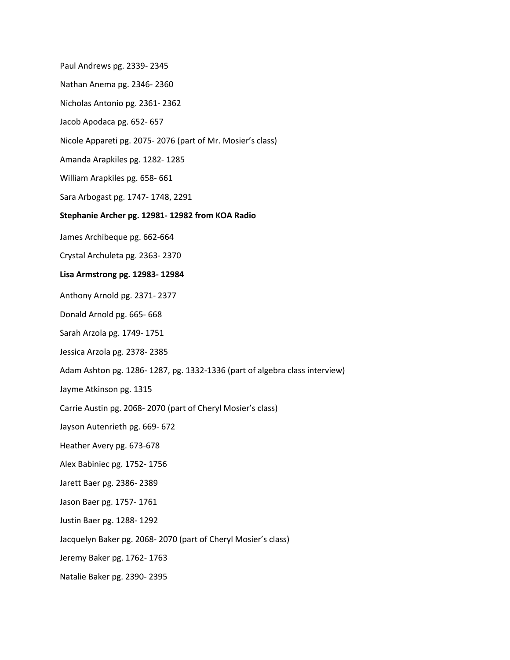Paul Andrews pg. 2339- 2345

- Nathan Anema pg. 2346- 2360
- Nicholas Antonio pg. 2361- 2362
- Jacob Apodaca pg. 652- 657
- Nicole Appareti pg. 2075- 2076 (part of Mr. Mosier's class)
- Amanda Arapkiles pg. 1282- 1285
- William Arapkiles pg. 658- 661
- Sara Arbogast pg. 1747- 1748, 2291

### **Stephanie Archer pg. 12981- 12982 from KOA Radio**

- James Archibeque pg. 662-664
- Crystal Archuleta pg. 2363- 2370

## **Lisa Armstrong pg. 12983- 12984**

- Anthony Arnold pg. 2371- 2377
- Donald Arnold pg. 665- 668
- Sarah Arzola pg. 1749- 1751
- Jessica Arzola pg. 2378- 2385
- Adam Ashton pg. 1286- 1287, pg. 1332-1336 (part of algebra class interview)
- Jayme Atkinson pg. 1315
- Carrie Austin pg. 2068- 2070 (part of Cheryl Mosier's class)
- Jayson Autenrieth pg. 669- 672
- Heather Avery pg. 673-678
- Alex Babiniec pg. 1752- 1756
- Jarett Baer pg. 2386- 2389
- Jason Baer pg. 1757- 1761
- Justin Baer pg. 1288- 1292
- Jacquelyn Baker pg. 2068- 2070 (part of Cheryl Mosier's class)
- Jeremy Baker pg. 1762- 1763
- Natalie Baker pg. 2390- 2395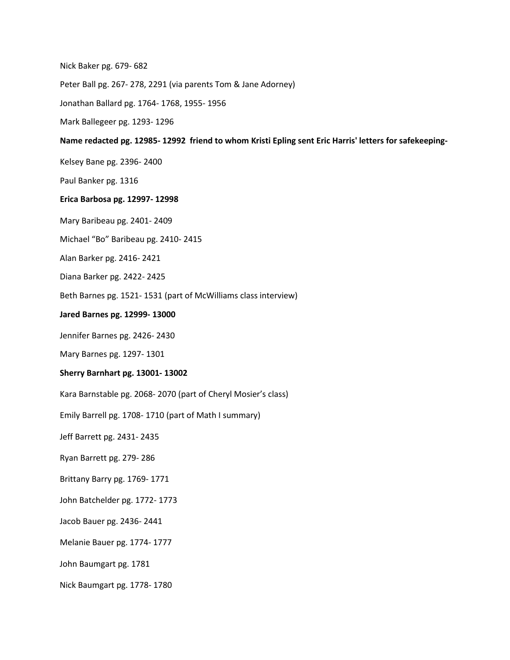Nick Baker pg. 679- 682

Peter Ball pg. 267- 278, 2291 (via parents Tom & Jane Adorney)

Jonathan Ballard pg. 1764- 1768, 1955- 1956

Mark Ballegeer pg. 1293- 1296

**Name redacted pg. 12985- 12992 friend to whom Kristi Epling sent Eric Harris' letters for safekeeping-**

Kelsey Bane pg. 2396- 2400

Paul Banker pg. 1316

#### **Erica Barbosa pg. 12997- 12998**

Mary Baribeau pg. 2401- 2409

Michael "Bo" Baribeau pg. 2410- 2415

Alan Barker pg. 2416- 2421

Diana Barker pg. 2422- 2425

Beth Barnes pg. 1521- 1531 (part of McWilliams class interview)

**Jared Barnes pg. 12999- 13000**

Jennifer Barnes pg. 2426- 2430

Mary Barnes pg. 1297- 1301

### **Sherry Barnhart pg. 13001- 13002**

Kara Barnstable pg. 2068- 2070 (part of Cheryl Mosier's class)

Emily Barrell pg. 1708- 1710 (part of Math I summary)

Jeff Barrett pg. 2431- 2435

Ryan Barrett pg. 279- 286

Brittany Barry pg. 1769- 1771

John Batchelder pg. 1772- 1773

Jacob Bauer pg. 2436- 2441

Melanie Bauer pg. 1774- 1777

John Baumgart pg. 1781

Nick Baumgart pg. 1778- 1780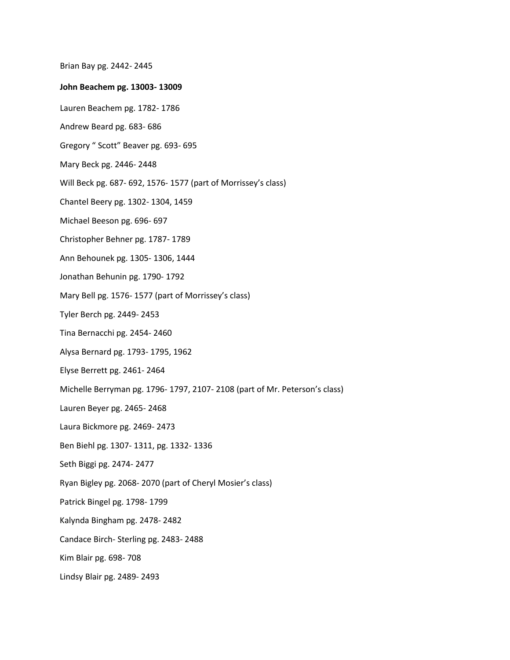Brian Bay pg. 2442- 2445

### **John Beachem pg. 13003- 13009**

- Lauren Beachem pg. 1782- 1786
- Andrew Beard pg. 683- 686
- Gregory " Scott" Beaver pg. 693- 695
- Mary Beck pg. 2446- 2448
- Will Beck pg. 687- 692, 1576- 1577 (part of Morrissey's class)
- Chantel Beery pg. 1302- 1304, 1459
- Michael Beeson pg. 696- 697
- Christopher Behner pg. 1787- 1789
- Ann Behounek pg. 1305- 1306, 1444
- Jonathan Behunin pg. 1790- 1792
- Mary Bell pg. 1576- 1577 (part of Morrissey's class)
- Tyler Berch pg. 2449- 2453
- Tina Bernacchi pg. 2454- 2460
- Alysa Bernard pg. 1793- 1795, 1962
- Elyse Berrett pg. 2461- 2464
- Michelle Berryman pg. 1796- 1797, 2107- 2108 (part of Mr. Peterson's class)
- Lauren Beyer pg. 2465- 2468
- Laura Bickmore pg. 2469- 2473
- Ben Biehl pg. 1307- 1311, pg. 1332- 1336
- Seth Biggi pg. 2474- 2477
- Ryan Bigley pg. 2068- 2070 (part of Cheryl Mosier's class)
- Patrick Bingel pg. 1798- 1799
- Kalynda Bingham pg. 2478- 2482
- Candace Birch- Sterling pg. 2483- 2488
- Kim Blair pg. 698- 708
- Lindsy Blair pg. 2489- 2493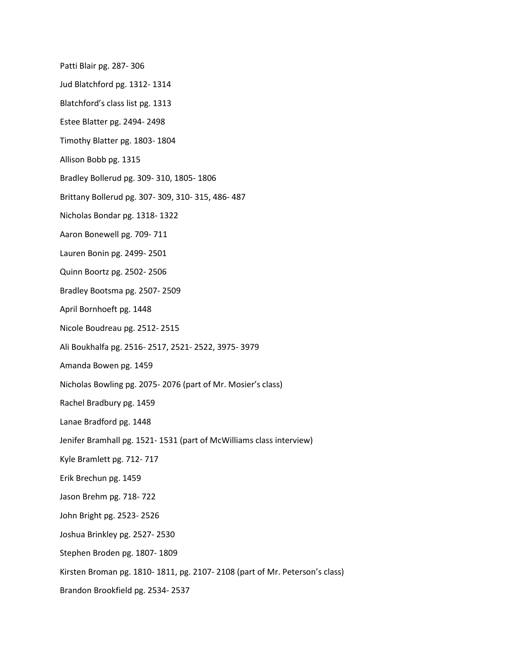Patti Blair pg. 287- 306

- Jud Blatchford pg. 1312- 1314
- Blatchford's class list pg. 1313
- Estee Blatter pg. 2494- 2498
- Timothy Blatter pg. 1803- 1804
- Allison Bobb pg. 1315
- Bradley Bollerud pg. 309- 310, 1805- 1806
- Brittany Bollerud pg. 307- 309, 310- 315, 486- 487
- Nicholas Bondar pg. 1318- 1322
- Aaron Bonewell pg. 709- 711
- Lauren Bonin pg. 2499- 2501
- Quinn Boortz pg. 2502- 2506
- Bradley Bootsma pg. 2507- 2509
- April Bornhoeft pg. 1448
- Nicole Boudreau pg. 2512- 2515
- Ali Boukhalfa pg. 2516- 2517, 2521- 2522, 3975- 3979
- Amanda Bowen pg. 1459
- Nicholas Bowling pg. 2075- 2076 (part of Mr. Mosier's class)
- Rachel Bradbury pg. 1459
- Lanae Bradford pg. 1448
- Jenifer Bramhall pg. 1521- 1531 (part of McWilliams class interview)
- Kyle Bramlett pg. 712- 717
- Erik Brechun pg. 1459
- Jason Brehm pg. 718- 722
- John Bright pg. 2523- 2526
- Joshua Brinkley pg. 2527- 2530
- Stephen Broden pg. 1807- 1809
- Kirsten Broman pg. 1810- 1811, pg. 2107- 2108 (part of Mr. Peterson's class)
- Brandon Brookfield pg. 2534- 2537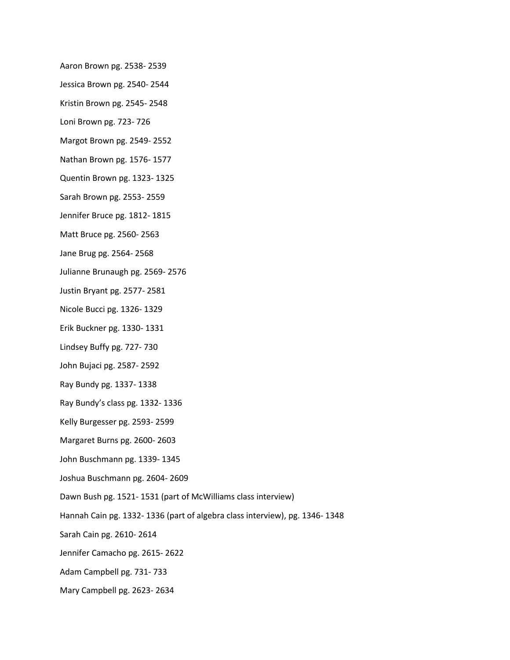- Aaron Brown pg. 2538- 2539
- Jessica Brown pg. 2540- 2544
- Kristin Brown pg. 2545- 2548
- Loni Brown pg. 723- 726
- Margot Brown pg. 2549- 2552
- Nathan Brown pg. 1576- 1577
- Quentin Brown pg. 1323- 1325
- Sarah Brown pg. 2553- 2559
- Jennifer Bruce pg. 1812- 1815
- Matt Bruce pg. 2560- 2563
- Jane Brug pg. 2564- 2568
- Julianne Brunaugh pg. 2569- 2576
- Justin Bryant pg. 2577- 2581
- Nicole Bucci pg. 1326- 1329
- Erik Buckner pg. 1330- 1331
- Lindsey Buffy pg. 727- 730
- John Bujaci pg. 2587- 2592
- Ray Bundy pg. 1337- 1338
- Ray Bundy's class pg. 1332- 1336
- Kelly Burgesser pg. 2593- 2599
- Margaret Burns pg. 2600- 2603
- John Buschmann pg. 1339- 1345
- Joshua Buschmann pg. 2604- 2609
- Dawn Bush pg. 1521- 1531 (part of McWilliams class interview)
- Hannah Cain pg. 1332- 1336 (part of algebra class interview), pg. 1346- 1348
- Sarah Cain pg. 2610- 2614
- Jennifer Camacho pg. 2615- 2622
- Adam Campbell pg. 731- 733
- Mary Campbell pg. 2623- 2634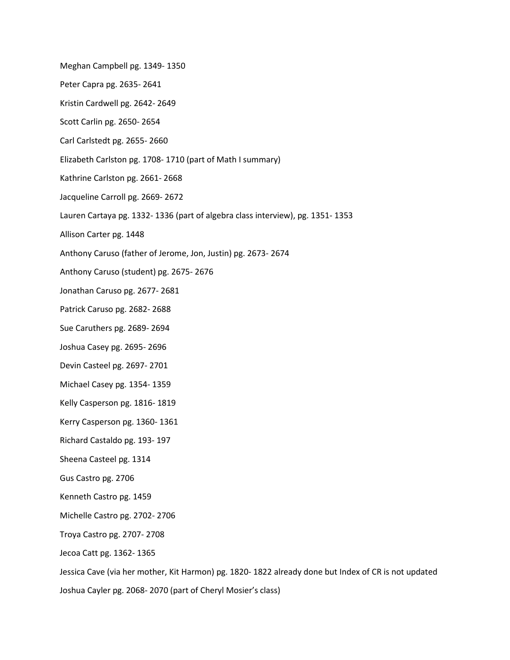Meghan Campbell pg. 1349- 1350 Peter Capra pg. 2635- 2641 Kristin Cardwell pg. 2642- 2649 Scott Carlin pg. 2650- 2654 Carl Carlstedt pg. 2655- 2660 Elizabeth Carlston pg. 1708- 1710 (part of Math I summary) Kathrine Carlston pg. 2661- 2668 Jacqueline Carroll pg. 2669- 2672 Lauren Cartaya pg. 1332- 1336 (part of algebra class interview), pg. 1351- 1353 Allison Carter pg. 1448 Anthony Caruso (father of Jerome, Jon, Justin) pg. 2673- 2674 Anthony Caruso (student) pg. 2675- 2676 Jonathan Caruso pg. 2677- 2681 Patrick Caruso pg. 2682- 2688 Sue Caruthers pg. 2689- 2694 Joshua Casey pg. 2695- 2696 Devin Casteel pg. 2697- 2701 Michael Casey pg. 1354- 1359 Kelly Casperson pg. 1816- 1819 Kerry Casperson pg. 1360- 1361 Richard Castaldo pg. 193- 197 Sheena Casteel pg. 1314 Gus Castro pg. 2706 Kenneth Castro pg. 1459 Michelle Castro pg. 2702- 2706 Troya Castro pg. 2707- 2708 Jecoa Catt pg. 1362- 1365 Jessica Cave (via her mother, Kit Harmon) pg. 1820- 1822 already done but Index of CR is not updated

Joshua Cayler pg. 2068- 2070 (part of Cheryl Mosier's class)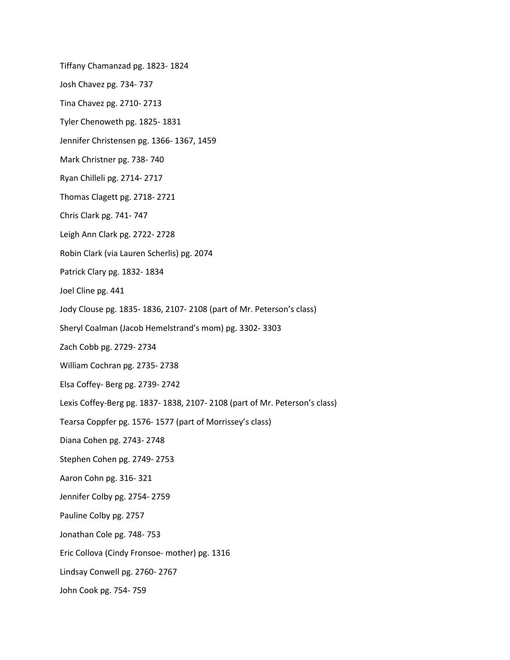Tiffany Chamanzad pg. 1823- 1824 Josh Chavez pg. 734- 737 Tina Chavez pg. 2710- 2713 Tyler Chenoweth pg. 1825- 1831 Jennifer Christensen pg. 1366- 1367, 1459 Mark Christner pg. 738- 740 Ryan Chilleli pg. 2714- 2717 Thomas Clagett pg. 2718- 2721 Chris Clark pg. 741- 747 Leigh Ann Clark pg. 2722- 2728 Robin Clark (via Lauren Scherlis) pg. 2074 Patrick Clary pg. 1832- 1834 Joel Cline pg. 441 Jody Clouse pg. 1835- 1836, 2107- 2108 (part of Mr. Peterson's class) Sheryl Coalman (Jacob Hemelstrand's mom) pg. 3302- 3303 Zach Cobb pg. 2729- 2734 William Cochran pg. 2735- 2738 Elsa Coffey- Berg pg. 2739- 2742 Lexis Coffey-Berg pg. 1837- 1838, 2107- 2108 (part of Mr. Peterson's class) Tearsa Coppfer pg. 1576- 1577 (part of Morrissey's class) Diana Cohen pg. 2743- 2748 Stephen Cohen pg. 2749- 2753 Aaron Cohn pg. 316- 321 Jennifer Colby pg. 2754- 2759 Pauline Colby pg. 2757 Jonathan Cole pg. 748- 753 Eric Collova (Cindy Fronsoe- mother) pg. 1316 Lindsay Conwell pg. 2760- 2767 John Cook pg. 754- 759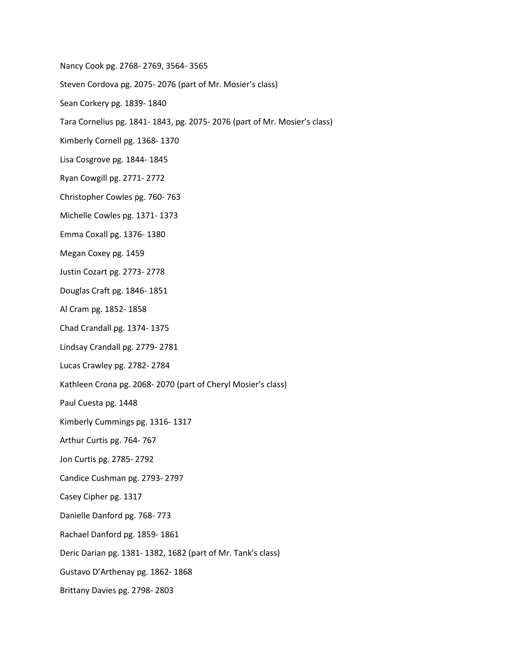Nancy Cook pg. 2768- 2769, 3564- 3565

Steven Cordova pg. 2075- 2076 (part of Mr. Mosier's class)

- Sean Corkery pg. 1839- 1840
- Tara Cornelius pg. 1841- 1843, pg. 2075- 2076 (part of Mr. Mosier's class)
- Kimberly Cornell pg. 1368- 1370
- Lisa Cosgrove pg. 1844- 1845
- Ryan Cowgill pg. 2771- 2772
- Christopher Cowles pg. 760- 763
- Michelle Cowles pg. 1371- 1373
- Emma Coxall pg. 1376- 1380
- Megan Coxey pg. 1459
- Justin Cozart pg. 2773- 2778
- Douglas Craft pg. 1846- 1851
- Al Cram pg. 1852- 1858
- Chad Crandall pg. 1374- 1375
- Lindsay Crandall pg. 2779- 2781
- Lucas Crawley pg. 2782- 2784
- Kathleen Crona pg. 2068- 2070 (part of Cheryl Mosier's class)
- Paul Cuesta pg. 1448
- Kimberly Cummings pg. 1316- 1317
- Arthur Curtis pg. 764- 767
- Jon Curtis pg. 2785- 2792
- Candice Cushman pg. 2793- 2797
- Casey Cipher pg. 1317
- Danielle Danford pg. 768- 773
- Rachael Danford pg. 1859- 1861
- Deric Darian pg. 1381- 1382, 1682 (part of Mr. Tank's class)
- Gustavo D'Arthenay pg. 1862- 1868
- Brittany Davies pg. 2798- 2803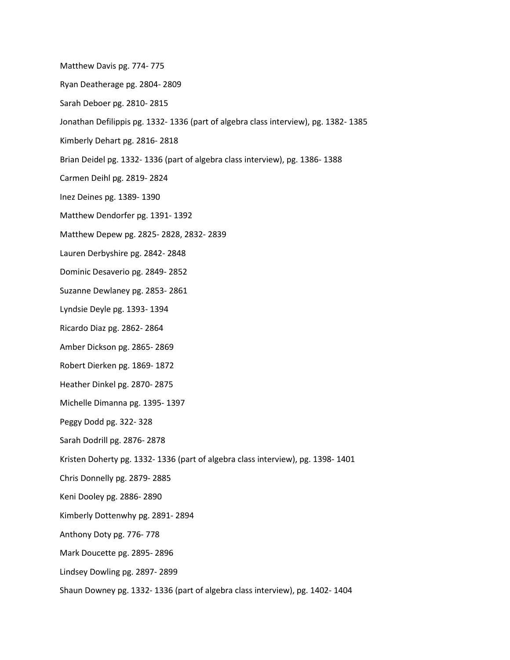Matthew Davis pg. 774- 775

Ryan Deatherage pg. 2804- 2809

- Sarah Deboer pg. 2810- 2815
- Jonathan Defilippis pg. 1332- 1336 (part of algebra class interview), pg. 1382- 1385
- Kimberly Dehart pg. 2816- 2818
- Brian Deidel pg. 1332- 1336 (part of algebra class interview), pg. 1386- 1388
- Carmen Deihl pg. 2819- 2824
- Inez Deines pg. 1389- 1390
- Matthew Dendorfer pg. 1391- 1392
- Matthew Depew pg. 2825- 2828, 2832- 2839
- Lauren Derbyshire pg. 2842- 2848
- Dominic Desaverio pg. 2849- 2852
- Suzanne Dewlaney pg. 2853- 2861
- Lyndsie Deyle pg. 1393- 1394
- Ricardo Diaz pg. 2862- 2864
- Amber Dickson pg. 2865- 2869
- Robert Dierken pg. 1869- 1872
- Heather Dinkel pg. 2870- 2875
- Michelle Dimanna pg. 1395- 1397
- Peggy Dodd pg. 322- 328
- Sarah Dodrill pg. 2876- 2878
- Kristen Doherty pg. 1332- 1336 (part of algebra class interview), pg. 1398- 1401
- Chris Donnelly pg. 2879- 2885
- Keni Dooley pg. 2886- 2890
- Kimberly Dottenwhy pg. 2891- 2894
- Anthony Doty pg. 776- 778
- Mark Doucette pg. 2895- 2896
- Lindsey Dowling pg. 2897- 2899
- Shaun Downey pg. 1332- 1336 (part of algebra class interview), pg. 1402- 1404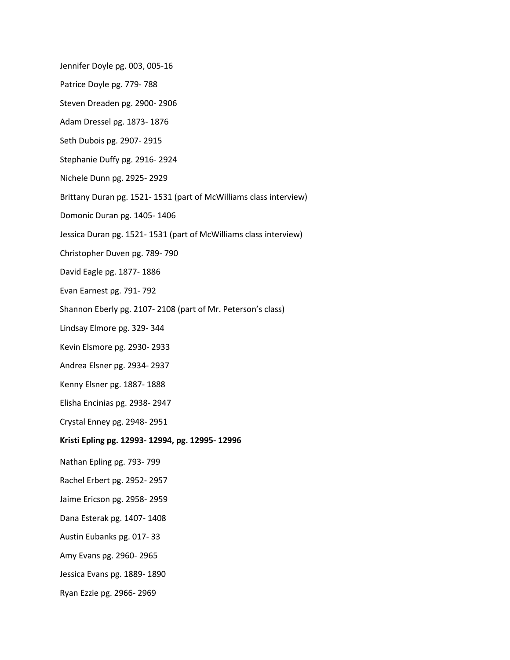Jennifer Doyle pg. 003, 005-16

- Patrice Doyle pg. 779- 788
- Steven Dreaden pg. 2900- 2906
- Adam Dressel pg. 1873- 1876
- Seth Dubois pg. 2907- 2915
- Stephanie Duffy pg. 2916- 2924
- Nichele Dunn pg. 2925- 2929
- Brittany Duran pg. 1521- 1531 (part of McWilliams class interview)
- Domonic Duran pg. 1405- 1406
- Jessica Duran pg. 1521- 1531 (part of McWilliams class interview)
- Christopher Duven pg. 789- 790
- David Eagle pg. 1877- 1886
- Evan Earnest pg. 791- 792
- Shannon Eberly pg. 2107- 2108 (part of Mr. Peterson's class)
- Lindsay Elmore pg. 329- 344
- Kevin Elsmore pg. 2930- 2933
- Andrea Elsner pg. 2934- 2937
- Kenny Elsner pg. 1887- 1888
- Elisha Encinias pg. 2938- 2947
- Crystal Enney pg. 2948- 2951
- **Kristi Epling pg. 12993- 12994, pg. 12995- 12996**
- Nathan Epling pg. 793- 799
- Rachel Erbert pg. 2952- 2957
- Jaime Ericson pg. 2958- 2959
- Dana Esterak pg. 1407- 1408
- Austin Eubanks pg. 017- 33
- Amy Evans pg. 2960- 2965
- Jessica Evans pg. 1889- 1890
- Ryan Ezzie pg. 2966- 2969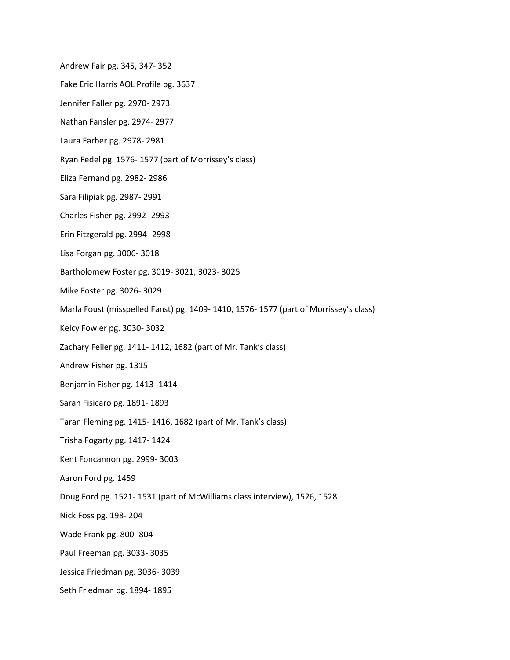Andrew Fair pg. 345, 347- 352

- Fake Eric Harris AOL Profile pg. 3637
- Jennifer Faller pg. 2970- 2973
- Nathan Fansler pg. 2974- 2977
- Laura Farber pg. 2978- 2981
- Ryan Fedel pg. 1576- 1577 (part of Morrissey's class)
- Eliza Fernand pg. 2982- 2986
- Sara Filipiak pg. 2987- 2991
- Charles Fisher pg. 2992- 2993
- Erin Fitzgerald pg. 2994- 2998
- Lisa Forgan pg. 3006- 3018
- Bartholomew Foster pg. 3019- 3021, 3023- 3025
- Mike Foster pg. 3026- 3029
- Marla Foust (misspelled Fanst) pg. 1409- 1410, 1576- 1577 (part of Morrissey's class)
- Kelcy Fowler pg. 3030- 3032
- Zachary Feiler pg. 1411- 1412, 1682 (part of Mr. Tank's class)
- Andrew Fisher pg. 1315
- Benjamin Fisher pg. 1413- 1414
- Sarah Fisicaro pg. 1891- 1893
- Taran Fleming pg. 1415- 1416, 1682 (part of Mr. Tank's class)
- Trisha Fogarty pg. 1417- 1424
- Kent Foncannon pg. 2999- 3003
- Aaron Ford pg. 1459
- Doug Ford pg. 1521- 1531 (part of McWilliams class interview), 1526, 1528
- Nick Foss pg. 198- 204
- Wade Frank pg. 800- 804
- Paul Freeman pg. 3033- 3035
- Jessica Friedman pg. 3036- 3039
- Seth Friedman pg. 1894- 1895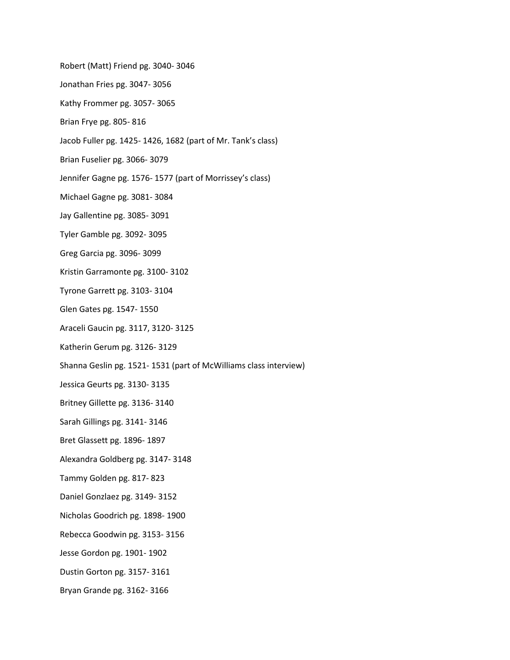- Robert (Matt) Friend pg. 3040- 3046
- Jonathan Fries pg. 3047- 3056
- Kathy Frommer pg. 3057- 3065
- Brian Frye pg. 805- 816
- Jacob Fuller pg. 1425- 1426, 1682 (part of Mr. Tank's class)
- Brian Fuselier pg. 3066- 3079
- Jennifer Gagne pg. 1576- 1577 (part of Morrissey's class)
- Michael Gagne pg. 3081- 3084
- Jay Gallentine pg. 3085- 3091
- Tyler Gamble pg. 3092- 3095
- Greg Garcia pg. 3096- 3099
- Kristin Garramonte pg. 3100- 3102
- Tyrone Garrett pg. 3103- 3104
- Glen Gates pg. 1547- 1550
- Araceli Gaucin pg. 3117, 3120- 3125
- Katherin Gerum pg. 3126- 3129
- Shanna Geslin pg. 1521- 1531 (part of McWilliams class interview)
- Jessica Geurts pg. 3130- 3135
- Britney Gillette pg. 3136- 3140
- Sarah Gillings pg. 3141- 3146
- Bret Glassett pg. 1896- 1897
- Alexandra Goldberg pg. 3147- 3148
- Tammy Golden pg. 817- 823
- Daniel Gonzlaez pg. 3149- 3152
- Nicholas Goodrich pg. 1898- 1900
- Rebecca Goodwin pg. 3153- 3156
- Jesse Gordon pg. 1901- 1902
- Dustin Gorton pg. 3157- 3161
- Bryan Grande pg. 3162- 3166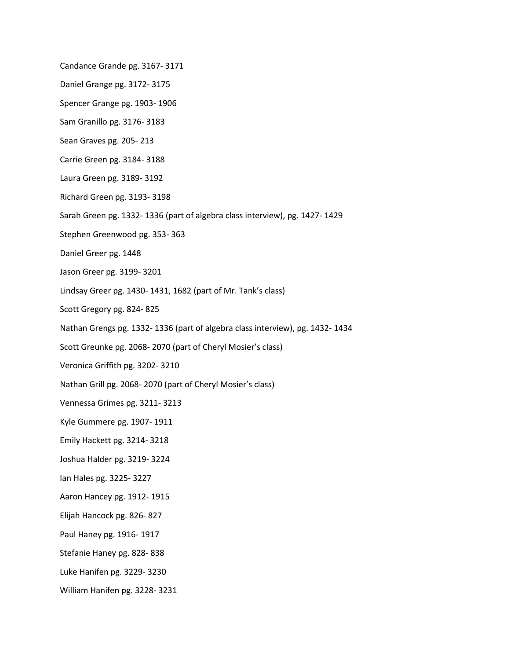Candance Grande pg. 3167- 3171

Daniel Grange pg. 3172- 3175

Spencer Grange pg. 1903- 1906

Sam Granillo pg. 3176- 3183

Sean Graves pg. 205- 213

Carrie Green pg. 3184- 3188

Laura Green pg. 3189- 3192

Richard Green pg. 3193- 3198

Sarah Green pg. 1332- 1336 (part of algebra class interview), pg. 1427- 1429

Stephen Greenwood pg. 353- 363

Daniel Greer pg. 1448

Jason Greer pg. 3199- 3201

Lindsay Greer pg. 1430- 1431, 1682 (part of Mr. Tank's class)

Scott Gregory pg. 824- 825

Nathan Grengs pg. 1332- 1336 (part of algebra class interview), pg. 1432- 1434

Scott Greunke pg. 2068- 2070 (part of Cheryl Mosier's class)

Veronica Griffith pg. 3202- 3210

Nathan Grill pg. 2068- 2070 (part of Cheryl Mosier's class)

Vennessa Grimes pg. 3211- 3213

Kyle Gummere pg. 1907- 1911

Emily Hackett pg. 3214- 3218

Joshua Halder pg. 3219- 3224

Ian Hales pg. 3225- 3227

Aaron Hancey pg. 1912- 1915

Elijah Hancock pg. 826- 827

Paul Haney pg. 1916- 1917

Stefanie Haney pg. 828- 838

Luke Hanifen pg. 3229- 3230

William Hanifen pg. 3228- 3231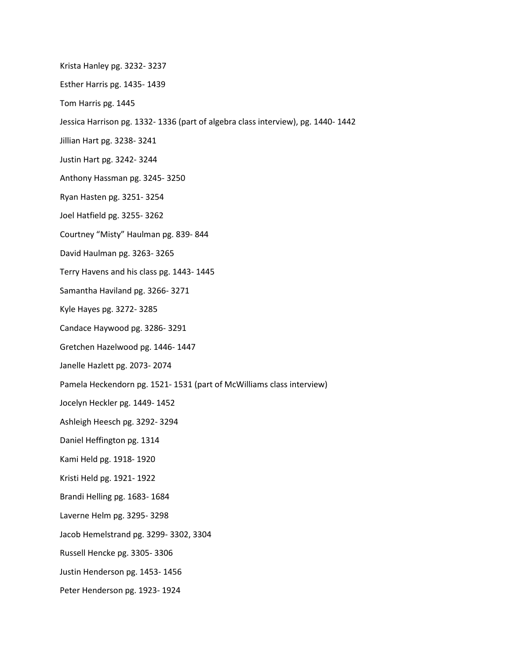- Krista Hanley pg. 3232- 3237
- Esther Harris pg. 1435- 1439
- Tom Harris pg. 1445
- Jessica Harrison pg. 1332- 1336 (part of algebra class interview), pg. 1440- 1442
- Jillian Hart pg. 3238- 3241
- Justin Hart pg. 3242- 3244
- Anthony Hassman pg. 3245- 3250
- Ryan Hasten pg. 3251- 3254
- Joel Hatfield pg. 3255- 3262
- Courtney "Misty" Haulman pg. 839- 844
- David Haulman pg. 3263- 3265
- Terry Havens and his class pg. 1443- 1445
- Samantha Haviland pg. 3266- 3271
- Kyle Hayes pg. 3272- 3285
- Candace Haywood pg. 3286- 3291
- Gretchen Hazelwood pg. 1446- 1447
- Janelle Hazlett pg. 2073- 2074
- Pamela Heckendorn pg. 1521- 1531 (part of McWilliams class interview)
- Jocelyn Heckler pg. 1449- 1452
- Ashleigh Heesch pg. 3292- 3294
- Daniel Heffington pg. 1314
- Kami Held pg. 1918- 1920
- Kristi Held pg. 1921- 1922
- Brandi Helling pg. 1683- 1684
- Laverne Helm pg. 3295- 3298
- Jacob Hemelstrand pg. 3299- 3302, 3304
- Russell Hencke pg. 3305- 3306
- Justin Henderson pg. 1453- 1456
- Peter Henderson pg. 1923- 1924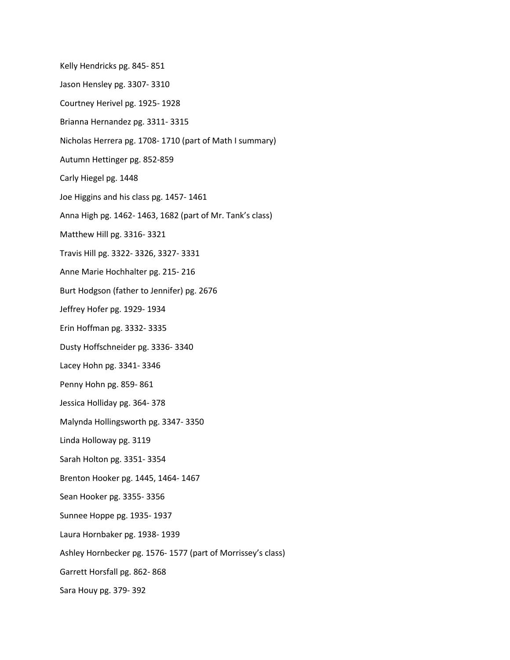Kelly Hendricks pg. 845- 851 Jason Hensley pg. 3307- 3310 Courtney Herivel pg. 1925- 1928 Brianna Hernandez pg. 3311- 3315 Nicholas Herrera pg. 1708- 1710 (part of Math I summary) Autumn Hettinger pg. 852-859 Carly Hiegel pg. 1448 Joe Higgins and his class pg. 1457- 1461 Anna High pg. 1462- 1463, 1682 (part of Mr. Tank's class) Matthew Hill pg. 3316- 3321 Travis Hill pg. 3322- 3326, 3327- 3331 Anne Marie Hochhalter pg. 215- 216 Burt Hodgson (father to Jennifer) pg. 2676 Jeffrey Hofer pg. 1929- 1934 Erin Hoffman pg. 3332- 3335 Dusty Hoffschneider pg. 3336- 3340 Lacey Hohn pg. 3341- 3346 Penny Hohn pg. 859- 861 Jessica Holliday pg. 364- 378 Malynda Hollingsworth pg. 3347- 3350 Linda Holloway pg. 3119 Sarah Holton pg. 3351- 3354 Brenton Hooker pg. 1445, 1464- 1467 Sean Hooker pg. 3355- 3356 Sunnee Hoppe pg. 1935- 1937 Laura Hornbaker pg. 1938- 1939 Ashley Hornbecker pg. 1576- 1577 (part of Morrissey's class) Garrett Horsfall pg. 862- 868

Sara Houy pg. 379- 392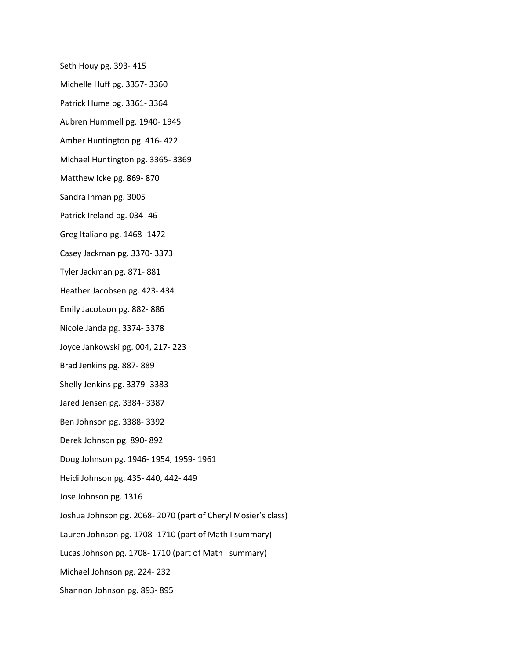- Seth Houy pg. 393- 415
- Michelle Huff pg. 3357- 3360
- Patrick Hume pg. 3361- 3364
- Aubren Hummell pg. 1940- 1945
- Amber Huntington pg. 416- 422
- Michael Huntington pg. 3365- 3369
- Matthew Icke pg. 869- 870
- Sandra Inman pg. 3005
- Patrick Ireland pg. 034- 46
- Greg Italiano pg. 1468- 1472
- Casey Jackman pg. 3370- 3373
- Tyler Jackman pg. 871- 881
- Heather Jacobsen pg. 423- 434
- Emily Jacobson pg. 882- 886
- Nicole Janda pg. 3374- 3378
- Joyce Jankowski pg. 004, 217- 223
- Brad Jenkins pg. 887- 889
- Shelly Jenkins pg. 3379- 3383
- Jared Jensen pg. 3384- 3387
- Ben Johnson pg. 3388- 3392
- Derek Johnson pg. 890- 892
- Doug Johnson pg. 1946- 1954, 1959- 1961
- Heidi Johnson pg. 435- 440, 442- 449
- Jose Johnson pg. 1316
- Joshua Johnson pg. 2068- 2070 (part of Cheryl Mosier's class)
- Lauren Johnson pg. 1708- 1710 (part of Math I summary)
- Lucas Johnson pg. 1708- 1710 (part of Math I summary)
- Michael Johnson pg. 224- 232
- Shannon Johnson pg. 893- 895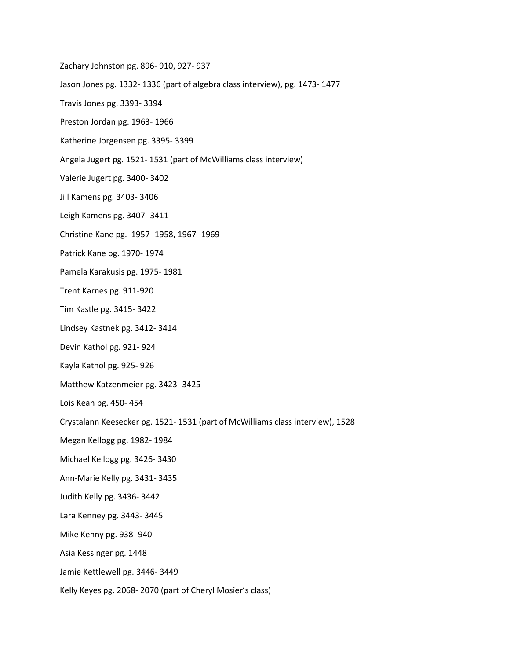- Zachary Johnston pg. 896- 910, 927- 937
- Jason Jones pg. 1332- 1336 (part of algebra class interview), pg. 1473- 1477
- Travis Jones pg. 3393- 3394
- Preston Jordan pg. 1963- 1966
- Katherine Jorgensen pg. 3395- 3399
- Angela Jugert pg. 1521- 1531 (part of McWilliams class interview)
- Valerie Jugert pg. 3400- 3402
- Jill Kamens pg. 3403- 3406
- Leigh Kamens pg. 3407- 3411
- Christine Kane pg. 1957- 1958, 1967- 1969
- Patrick Kane pg. 1970- 1974
- Pamela Karakusis pg. 1975- 1981
- Trent Karnes pg. 911-920
- Tim Kastle pg. 3415- 3422
- Lindsey Kastnek pg. 3412- 3414
- Devin Kathol pg. 921- 924
- Kayla Kathol pg. 925- 926
- Matthew Katzenmeier pg. 3423- 3425
- Lois Kean pg. 450- 454
- Crystalann Keesecker pg. 1521- 1531 (part of McWilliams class interview), 1528
- Megan Kellogg pg. 1982- 1984
- Michael Kellogg pg. 3426- 3430
- Ann-Marie Kelly pg. 3431- 3435
- Judith Kelly pg. 3436- 3442
- Lara Kenney pg. 3443- 3445
- Mike Kenny pg. 938- 940
- Asia Kessinger pg. 1448
- Jamie Kettlewell pg. 3446- 3449
- Kelly Keyes pg. 2068- 2070 (part of Cheryl Mosier's class)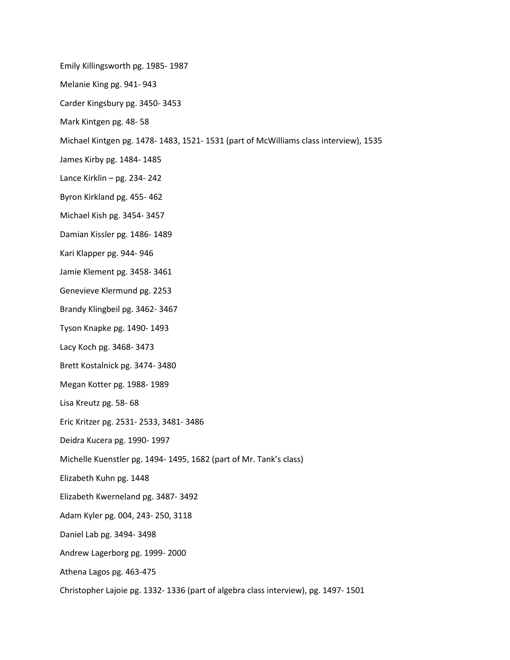Emily Killingsworth pg. 1985- 1987

Melanie King pg. 941- 943

Carder Kingsbury pg. 3450- 3453

Mark Kintgen pg. 48- 58

Michael Kintgen pg. 1478- 1483, 1521- 1531 (part of McWilliams class interview), 1535

James Kirby pg. 1484- 1485

Lance Kirklin – pg. 234- 242

Byron Kirkland pg. 455- 462

Michael Kish pg. 3454- 3457

Damian Kissler pg. 1486- 1489

Kari Klapper pg. 944- 946

Jamie Klement pg. 3458- 3461

Genevieve Klermund pg. 2253

Brandy Klingbeil pg. 3462- 3467

Tyson Knapke pg. 1490- 1493

Lacy Koch pg. 3468- 3473

Brett Kostalnick pg. 3474- 3480

Megan Kotter pg. 1988- 1989

Lisa Kreutz pg. 58- 68

Eric Kritzer pg. 2531- 2533, 3481- 3486

Deidra Kucera pg. 1990- 1997

Michelle Kuenstler pg. 1494- 1495, 1682 (part of Mr. Tank's class)

Elizabeth Kuhn pg. 1448

Elizabeth Kwerneland pg. 3487- 3492

Adam Kyler pg. 004, 243- 250, 3118

Daniel Lab pg. 3494- 3498

Andrew Lagerborg pg. 1999- 2000

Athena Lagos pg. 463-475

Christopher Lajoie pg. 1332- 1336 (part of algebra class interview), pg. 1497- 1501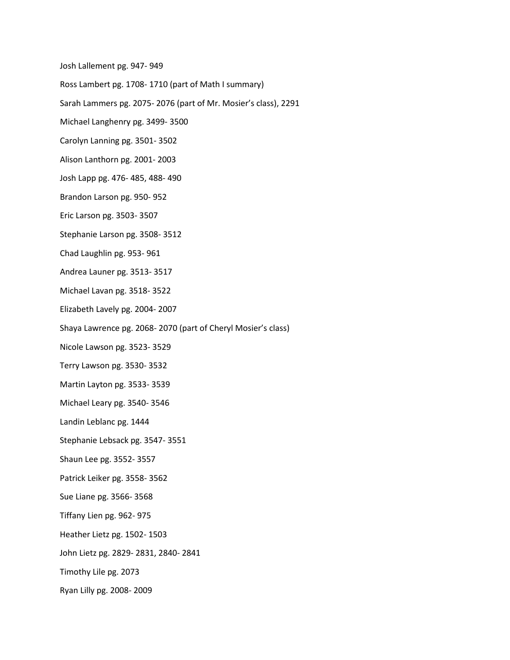Josh Lallement pg. 947- 949

Ross Lambert pg. 1708- 1710 (part of Math I summary)

Sarah Lammers pg. 2075- 2076 (part of Mr. Mosier's class), 2291

Michael Langhenry pg. 3499- 3500

Carolyn Lanning pg. 3501- 3502

Alison Lanthorn pg. 2001- 2003

Josh Lapp pg. 476- 485, 488- 490

Brandon Larson pg. 950- 952

Eric Larson pg. 3503- 3507

Stephanie Larson pg. 3508- 3512

Chad Laughlin pg. 953- 961

Andrea Launer pg. 3513- 3517

Michael Lavan pg. 3518- 3522

Elizabeth Lavely pg. 2004- 2007

Shaya Lawrence pg. 2068- 2070 (part of Cheryl Mosier's class)

Nicole Lawson pg. 3523- 3529

Terry Lawson pg. 3530- 3532

Martin Layton pg. 3533- 3539

Michael Leary pg. 3540- 3546

Landin Leblanc pg. 1444

Stephanie Lebsack pg. 3547- 3551

Shaun Lee pg. 3552- 3557

Patrick Leiker pg. 3558- 3562

Sue Liane pg. 3566- 3568

Tiffany Lien pg. 962- 975

Heather Lietz pg. 1502- 1503

John Lietz pg. 2829- 2831, 2840- 2841

Timothy Lile pg. 2073

Ryan Lilly pg. 2008- 2009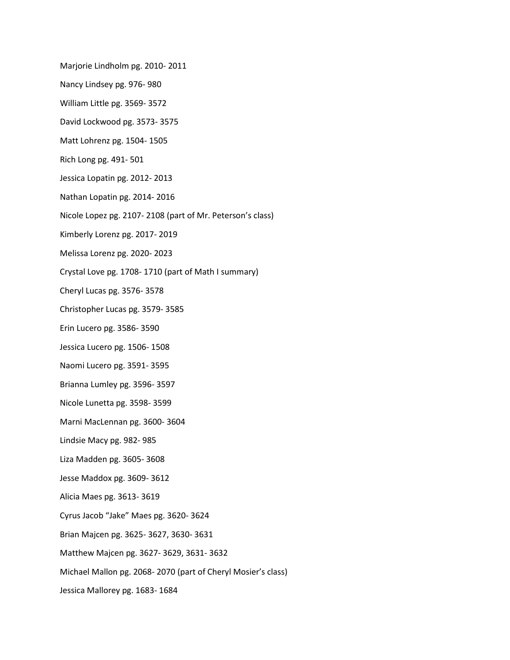Marjorie Lindholm pg. 2010- 2011

- Nancy Lindsey pg. 976- 980
- William Little pg. 3569- 3572
- David Lockwood pg. 3573- 3575
- Matt Lohrenz pg. 1504- 1505
- Rich Long pg. 491- 501
- Jessica Lopatin pg. 2012- 2013
- Nathan Lopatin pg. 2014- 2016
- Nicole Lopez pg. 2107- 2108 (part of Mr. Peterson's class)
- Kimberly Lorenz pg. 2017- 2019
- Melissa Lorenz pg. 2020- 2023
- Crystal Love pg. 1708- 1710 (part of Math I summary)
- Cheryl Lucas pg. 3576- 3578
- Christopher Lucas pg. 3579- 3585
- Erin Lucero pg. 3586- 3590
- Jessica Lucero pg. 1506- 1508
- Naomi Lucero pg. 3591- 3595
- Brianna Lumley pg. 3596- 3597
- Nicole Lunetta pg. 3598- 3599
- Marni MacLennan pg. 3600- 3604
- Lindsie Macy pg. 982- 985
- Liza Madden pg. 3605- 3608
- Jesse Maddox pg. 3609- 3612
- Alicia Maes pg. 3613- 3619
- Cyrus Jacob "Jake" Maes pg. 3620- 3624
- Brian Majcen pg. 3625- 3627, 3630- 3631
- Matthew Majcen pg. 3627- 3629, 3631- 3632
- Michael Mallon pg. 2068- 2070 (part of Cheryl Mosier's class)
- Jessica Mallorey pg. 1683- 1684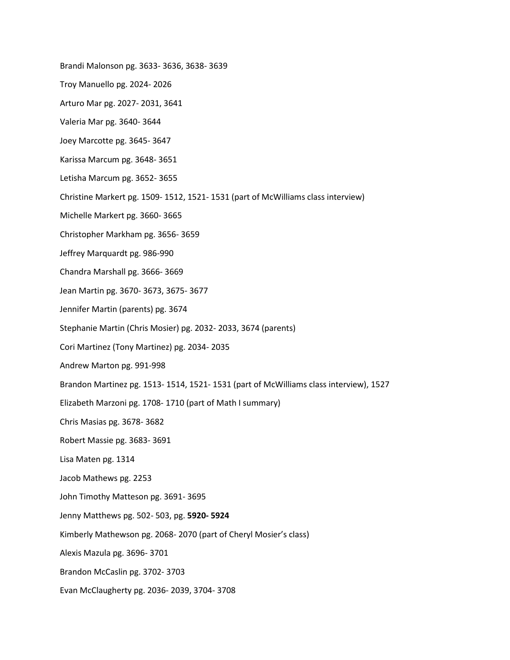Brandi Malonson pg. 3633- 3636, 3638- 3639

- Troy Manuello pg. 2024- 2026
- Arturo Mar pg. 2027- 2031, 3641
- Valeria Mar pg. 3640- 3644
- Joey Marcotte pg. 3645- 3647
- Karissa Marcum pg. 3648- 3651
- Letisha Marcum pg. 3652- 3655
- Christine Markert pg. 1509- 1512, 1521- 1531 (part of McWilliams class interview)
- Michelle Markert pg. 3660- 3665
- Christopher Markham pg. 3656- 3659
- Jeffrey Marquardt pg. 986-990
- Chandra Marshall pg. 3666- 3669
- Jean Martin pg. 3670- 3673, 3675- 3677
- Jennifer Martin (parents) pg. 3674
- Stephanie Martin (Chris Mosier) pg. 2032- 2033, 3674 (parents)
- Cori Martinez (Tony Martinez) pg. 2034- 2035
- Andrew Marton pg. 991-998
- Brandon Martinez pg. 1513- 1514, 1521- 1531 (part of McWilliams class interview), 1527
- Elizabeth Marzoni pg. 1708- 1710 (part of Math I summary)
- Chris Masias pg. 3678- 3682
- Robert Massie pg. 3683- 3691
- Lisa Maten pg. 1314
- Jacob Mathews pg. 2253
- John Timothy Matteson pg. 3691- 3695
- Jenny Matthews pg. 502- 503, pg. **5920- 5924**
- Kimberly Mathewson pg. 2068- 2070 (part of Cheryl Mosier's class)
- Alexis Mazula pg. 3696- 3701
- Brandon McCaslin pg. 3702- 3703
- Evan McClaugherty pg. 2036- 2039, 3704- 3708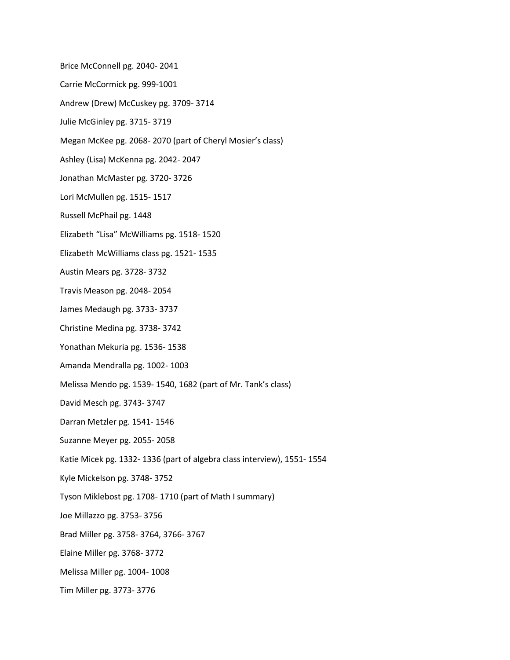Brice McConnell pg. 2040- 2041

- Carrie McCormick pg. 999-1001
- Andrew (Drew) McCuskey pg. 3709- 3714
- Julie McGinley pg. 3715- 3719
- Megan McKee pg. 2068- 2070 (part of Cheryl Mosier's class)
- Ashley (Lisa) McKenna pg. 2042- 2047
- Jonathan McMaster pg. 3720- 3726
- Lori McMullen pg. 1515- 1517
- Russell McPhail pg. 1448
- Elizabeth "Lisa" McWilliams pg. 1518- 1520
- Elizabeth McWilliams class pg. 1521- 1535
- Austin Mears pg. 3728- 3732
- Travis Meason pg. 2048- 2054
- James Medaugh pg. 3733- 3737
- Christine Medina pg. 3738- 3742
- Yonathan Mekuria pg. 1536- 1538
- Amanda Mendralla pg. 1002- 1003
- Melissa Mendo pg. 1539- 1540, 1682 (part of Mr. Tank's class)
- David Mesch pg. 3743- 3747
- Darran Metzler pg. 1541- 1546
- Suzanne Meyer pg. 2055- 2058
- Katie Micek pg. 1332- 1336 (part of algebra class interview), 1551- 1554
- Kyle Mickelson pg. 3748- 3752
- Tyson Miklebost pg. 1708- 1710 (part of Math I summary)
- Joe Millazzo pg. 3753- 3756
- Brad Miller pg. 3758- 3764, 3766- 3767
- Elaine Miller pg. 3768- 3772
- Melissa Miller pg. 1004- 1008
- Tim Miller pg. 3773- 3776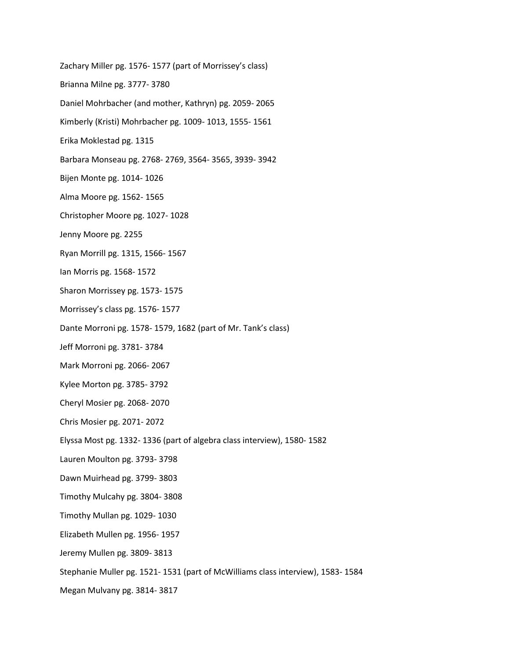Zachary Miller pg. 1576- 1577 (part of Morrissey's class) Brianna Milne pg. 3777- 3780 Daniel Mohrbacher (and mother, Kathryn) pg. 2059- 2065 Kimberly (Kristi) Mohrbacher pg. 1009- 1013, 1555- 1561 Erika Moklestad pg. 1315 Barbara Monseau pg. 2768- 2769, 3564- 3565, 3939- 3942 Bijen Monte pg. 1014- 1026 Alma Moore pg. 1562- 1565 Christopher Moore pg. 1027- 1028 Jenny Moore pg. 2255 Ryan Morrill pg. 1315, 1566- 1567 Ian Morris pg. 1568- 1572 Sharon Morrissey pg. 1573- 1575 Morrissey's class pg. 1576- 1577 Dante Morroni pg. 1578- 1579, 1682 (part of Mr. Tank's class) Jeff Morroni pg. 3781- 3784 Mark Morroni pg. 2066- 2067 Kylee Morton pg. 3785- 3792 Cheryl Mosier pg. 2068- 2070 Chris Mosier pg. 2071- 2072 Elyssa Most pg. 1332- 1336 (part of algebra class interview), 1580- 1582 Lauren Moulton pg. 3793- 3798 Dawn Muirhead pg. 3799- 3803 Timothy Mulcahy pg. 3804- 3808 Timothy Mullan pg. 1029- 1030 Elizabeth Mullen pg. 1956- 1957 Jeremy Mullen pg. 3809- 3813 Stephanie Muller pg. 1521- 1531 (part of McWilliams class interview), 1583- 1584 Megan Mulvany pg. 3814- 3817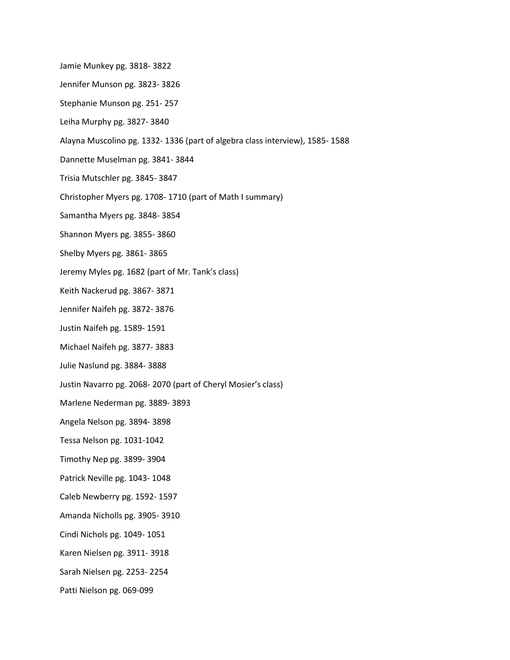- Jamie Munkey pg. 3818- 3822
- Jennifer Munson pg. 3823- 3826
- Stephanie Munson pg. 251- 257
- Leiha Murphy pg. 3827- 3840
- Alayna Muscolino pg. 1332- 1336 (part of algebra class interview), 1585- 1588
- Dannette Muselman pg. 3841- 3844
- Trisia Mutschler pg. 3845- 3847
- Christopher Myers pg. 1708- 1710 (part of Math I summary)
- Samantha Myers pg. 3848- 3854
- Shannon Myers pg. 3855- 3860
- Shelby Myers pg. 3861- 3865
- Jeremy Myles pg. 1682 (part of Mr. Tank's class)
- Keith Nackerud pg. 3867- 3871
- Jennifer Naifeh pg. 3872- 3876
- Justin Naifeh pg. 1589- 1591
- Michael Naifeh pg. 3877- 3883
- Julie Naslund pg. 3884- 3888
- Justin Navarro pg. 2068- 2070 (part of Cheryl Mosier's class)
- Marlene Nederman pg. 3889- 3893
- Angela Nelson pg. 3894- 3898
- Tessa Nelson pg. 1031-1042
- Timothy Nep pg. 3899- 3904
- Patrick Neville pg. 1043- 1048
- Caleb Newberry pg. 1592- 1597
- Amanda Nicholls pg. 3905- 3910
- Cindi Nichols pg. 1049- 1051
- Karen Nielsen pg. 3911- 3918
- Sarah Nielsen pg. 2253- 2254
- Patti Nielson pg. 069-099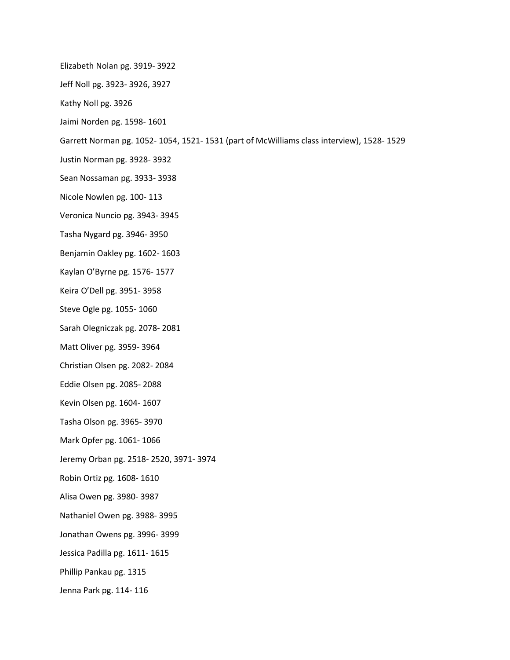- Elizabeth Nolan pg. 3919- 3922
- Jeff Noll pg. 3923- 3926, 3927
- Kathy Noll pg. 3926
- Jaimi Norden pg. 1598- 1601
- Garrett Norman pg. 1052- 1054, 1521- 1531 (part of McWilliams class interview), 1528- 1529
- Justin Norman pg. 3928- 3932
- Sean Nossaman pg. 3933- 3938
- Nicole Nowlen pg. 100- 113
- Veronica Nuncio pg. 3943- 3945
- Tasha Nygard pg. 3946- 3950
- Benjamin Oakley pg. 1602- 1603
- Kaylan O'Byrne pg. 1576- 1577
- Keira O'Dell pg. 3951- 3958
- Steve Ogle pg. 1055- 1060
- Sarah Olegniczak pg. 2078- 2081
- Matt Oliver pg. 3959- 3964
- Christian Olsen pg. 2082- 2084
- Eddie Olsen pg. 2085- 2088
- Kevin Olsen pg. 1604- 1607
- Tasha Olson pg. 3965- 3970
- Mark Opfer pg. 1061- 1066
- Jeremy Orban pg. 2518- 2520, 3971- 3974
- Robin Ortiz pg. 1608- 1610
- Alisa Owen pg. 3980- 3987
- Nathaniel Owen pg. 3988- 3995
- Jonathan Owens pg. 3996- 3999
- Jessica Padilla pg. 1611- 1615
- Phillip Pankau pg. 1315
- Jenna Park pg. 114- 116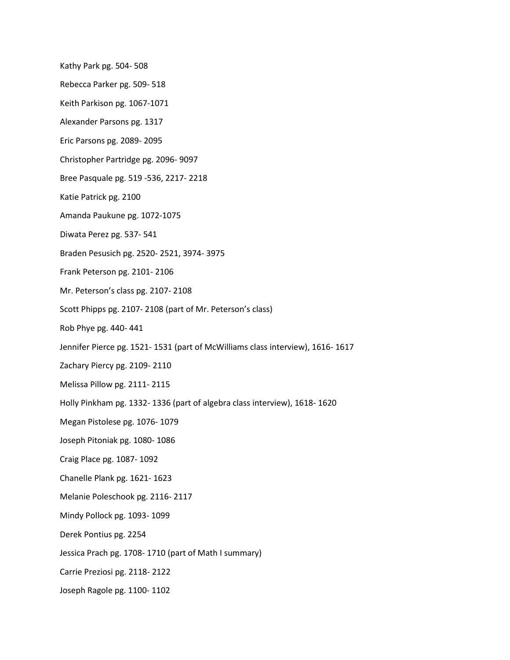Kathy Park pg. 504- 508

- Rebecca Parker pg. 509- 518
- Keith Parkison pg. 1067-1071
- Alexander Parsons pg. 1317
- Eric Parsons pg. 2089- 2095
- Christopher Partridge pg. 2096- 9097
- Bree Pasquale pg. 519 -536, 2217- 2218
- Katie Patrick pg. 2100
- Amanda Paukune pg. 1072-1075
- Diwata Perez pg. 537- 541
- Braden Pesusich pg. 2520- 2521, 3974- 3975
- Frank Peterson pg. 2101- 2106
- Mr. Peterson's class pg. 2107- 2108
- Scott Phipps pg. 2107- 2108 (part of Mr. Peterson's class)
- Rob Phye pg. 440- 441
- Jennifer Pierce pg. 1521- 1531 (part of McWilliams class interview), 1616- 1617
- Zachary Piercy pg. 2109- 2110
- Melissa Pillow pg. 2111- 2115
- Holly Pinkham pg. 1332- 1336 (part of algebra class interview), 1618- 1620
- Megan Pistolese pg. 1076- 1079
- Joseph Pitoniak pg. 1080- 1086
- Craig Place pg. 1087- 1092
- Chanelle Plank pg. 1621- 1623
- Melanie Poleschook pg. 2116- 2117
- Mindy Pollock pg. 1093- 1099
- Derek Pontius pg. 2254
- Jessica Prach pg. 1708- 1710 (part of Math I summary)
- Carrie Preziosi pg. 2118- 2122
- Joseph Ragole pg. 1100- 1102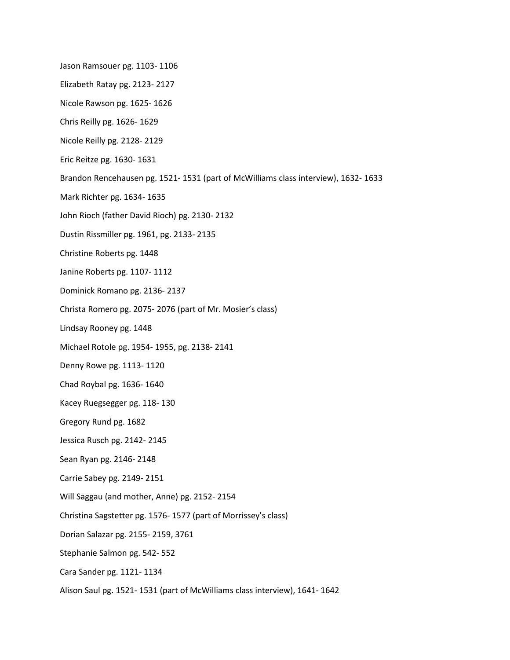- Jason Ramsouer pg. 1103- 1106
- Elizabeth Ratay pg. 2123- 2127
- Nicole Rawson pg. 1625- 1626
- Chris Reilly pg. 1626- 1629
- Nicole Reilly pg. 2128- 2129
- Eric Reitze pg. 1630- 1631
- Brandon Rencehausen pg. 1521- 1531 (part of McWilliams class interview), 1632- 1633
- Mark Richter pg. 1634- 1635
- John Rioch (father David Rioch) pg. 2130- 2132
- Dustin Rissmiller pg. 1961, pg. 2133- 2135
- Christine Roberts pg. 1448
- Janine Roberts pg. 1107- 1112
- Dominick Romano pg. 2136- 2137
- Christa Romero pg. 2075- 2076 (part of Mr. Mosier's class)
- Lindsay Rooney pg. 1448
- Michael Rotole pg. 1954- 1955, pg. 2138- 2141
- Denny Rowe pg. 1113- 1120
- Chad Roybal pg. 1636- 1640
- Kacey Ruegsegger pg. 118- 130
- Gregory Rund pg. 1682
- Jessica Rusch pg. 2142- 2145
- Sean Ryan pg. 2146- 2148
- Carrie Sabey pg. 2149- 2151
- Will Saggau (and mother, Anne) pg. 2152- 2154
- Christina Sagstetter pg. 1576- 1577 (part of Morrissey's class)
- Dorian Salazar pg. 2155- 2159, 3761
- Stephanie Salmon pg. 542- 552
- Cara Sander pg. 1121- 1134
- Alison Saul pg. 1521- 1531 (part of McWilliams class interview), 1641- 1642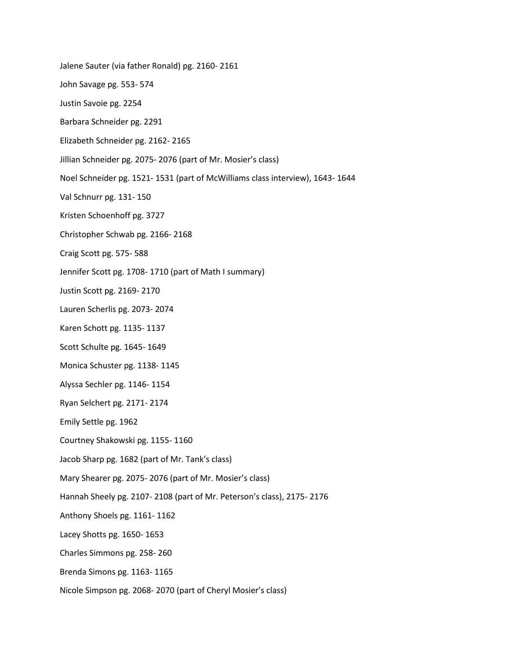- Jalene Sauter (via father Ronald) pg. 2160- 2161
- John Savage pg. 553- 574
- Justin Savoie pg. 2254
- Barbara Schneider pg. 2291
- Elizabeth Schneider pg. 2162- 2165
- Jillian Schneider pg. 2075- 2076 (part of Mr. Mosier's class)
- Noel Schneider pg. 1521- 1531 (part of McWilliams class interview), 1643- 1644
- Val Schnurr pg. 131- 150
- Kristen Schoenhoff pg. 3727
- Christopher Schwab pg. 2166- 2168
- Craig Scott pg. 575- 588
- Jennifer Scott pg. 1708- 1710 (part of Math I summary)
- Justin Scott pg. 2169- 2170
- Lauren Scherlis pg. 2073- 2074
- Karen Schott pg. 1135- 1137
- Scott Schulte pg. 1645- 1649
- Monica Schuster pg. 1138- 1145
- Alyssa Sechler pg. 1146- 1154
- Ryan Selchert pg. 2171- 2174
- Emily Settle pg. 1962
- Courtney Shakowski pg. 1155- 1160
- Jacob Sharp pg. 1682 (part of Mr. Tank's class)
- Mary Shearer pg. 2075- 2076 (part of Mr. Mosier's class)
- Hannah Sheely pg. 2107- 2108 (part of Mr. Peterson's class), 2175- 2176
- Anthony Shoels pg. 1161- 1162
- Lacey Shotts pg. 1650- 1653
- Charles Simmons pg. 258- 260
- Brenda Simons pg. 1163- 1165
- Nicole Simpson pg. 2068- 2070 (part of Cheryl Mosier's class)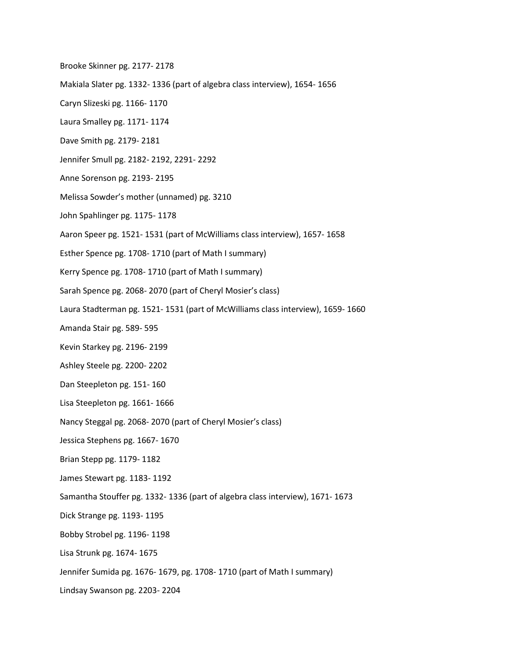- Brooke Skinner pg. 2177- 2178
- Makiala Slater pg. 1332- 1336 (part of algebra class interview), 1654- 1656
- Caryn Slizeski pg. 1166- 1170
- Laura Smalley pg. 1171- 1174
- Dave Smith pg. 2179- 2181
- Jennifer Smull pg. 2182- 2192, 2291- 2292
- Anne Sorenson pg. 2193- 2195
- Melissa Sowder's mother (unnamed) pg. 3210
- John Spahlinger pg. 1175- 1178
- Aaron Speer pg. 1521- 1531 (part of McWilliams class interview), 1657- 1658
- Esther Spence pg. 1708- 1710 (part of Math I summary)
- Kerry Spence pg. 1708- 1710 (part of Math I summary)
- Sarah Spence pg. 2068- 2070 (part of Cheryl Mosier's class)
- Laura Stadterman pg. 1521- 1531 (part of McWilliams class interview), 1659- 1660
- Amanda Stair pg. 589- 595
- Kevin Starkey pg. 2196- 2199
- Ashley Steele pg. 2200- 2202
- Dan Steepleton pg. 151- 160
- Lisa Steepleton pg. 1661- 1666
- Nancy Steggal pg. 2068- 2070 (part of Cheryl Mosier's class)
- Jessica Stephens pg. 1667- 1670
- Brian Stepp pg. 1179- 1182
- James Stewart pg. 1183- 1192
- Samantha Stouffer pg. 1332- 1336 (part of algebra class interview), 1671- 1673
- Dick Strange pg. 1193- 1195
- Bobby Strobel pg. 1196- 1198
- Lisa Strunk pg. 1674- 1675
- Jennifer Sumida pg. 1676- 1679, pg. 1708- 1710 (part of Math I summary)
- Lindsay Swanson pg. 2203- 2204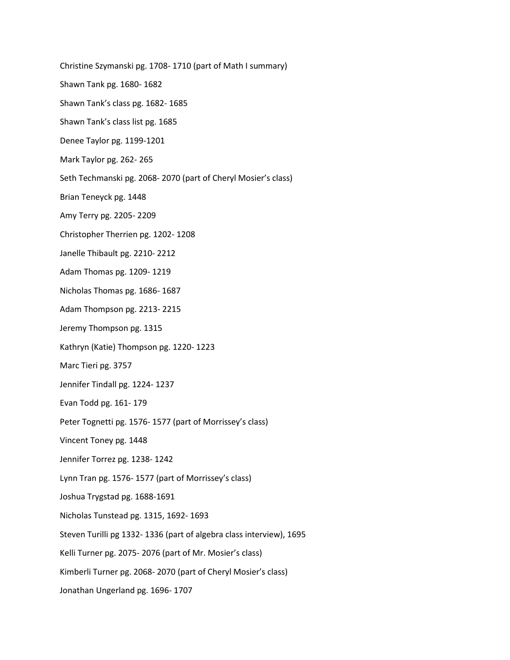Christine Szymanski pg. 1708- 1710 (part of Math I summary)

Shawn Tank pg. 1680- 1682

Shawn Tank's class pg. 1682- 1685

Shawn Tank's class list pg. 1685

Denee Taylor pg. 1199-1201

Mark Taylor pg. 262- 265

Seth Techmanski pg. 2068- 2070 (part of Cheryl Mosier's class)

Brian Teneyck pg. 1448

Amy Terry pg. 2205- 2209

Christopher Therrien pg. 1202- 1208

Janelle Thibault pg. 2210- 2212

Adam Thomas pg. 1209- 1219

Nicholas Thomas pg. 1686- 1687

Adam Thompson pg. 2213- 2215

Jeremy Thompson pg. 1315

Kathryn (Katie) Thompson pg. 1220- 1223

Marc Tieri pg. 3757

Jennifer Tindall pg. 1224- 1237

Evan Todd pg. 161- 179

Peter Tognetti pg. 1576- 1577 (part of Morrissey's class)

Vincent Toney pg. 1448

Jennifer Torrez pg. 1238- 1242

Lynn Tran pg. 1576- 1577 (part of Morrissey's class)

Joshua Trygstad pg. 1688-1691

Nicholas Tunstead pg. 1315, 1692- 1693

Steven Turilli pg 1332- 1336 (part of algebra class interview), 1695

Kelli Turner pg. 2075- 2076 (part of Mr. Mosier's class)

Kimberli Turner pg. 2068- 2070 (part of Cheryl Mosier's class)

Jonathan Ungerland pg. 1696- 1707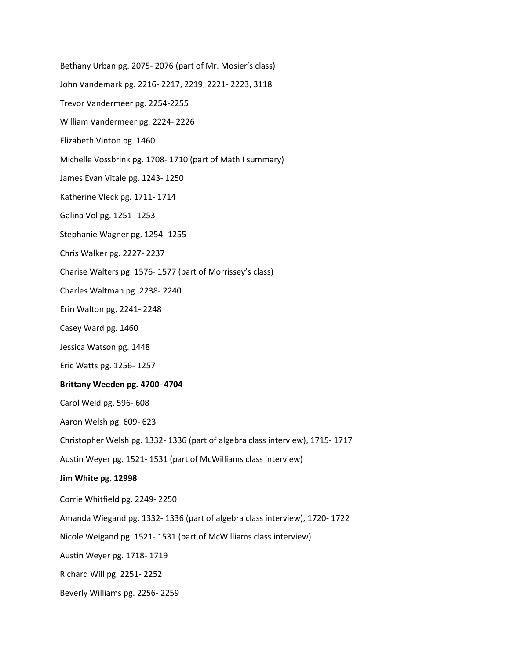- Bethany Urban pg. 2075- 2076 (part of Mr. Mosier's class)
- John Vandemark pg. 2216- 2217, 2219, 2221- 2223, 3118
- Trevor Vandermeer pg. 2254-2255
- William Vandermeer pg. 2224- 2226
- Elizabeth Vinton pg. 1460
- Michelle Vossbrink pg. 1708- 1710 (part of Math I summary)
- James Evan Vitale pg. 1243- 1250
- Katherine Vleck pg. 1711- 1714
- Galina Vol pg. 1251- 1253
- Stephanie Wagner pg. 1254- 1255
- Chris Walker pg. 2227- 2237
- Charise Walters pg. 1576- 1577 (part of Morrissey's class)
- Charles Waltman pg. 2238- 2240
- Erin Walton pg. 2241- 2248
- Casey Ward pg. 1460
- Jessica Watson pg. 1448
- Eric Watts pg. 1256- 1257

### **Brittany Weeden pg. 4700- 4704**

- Carol Weld pg. 596- 608
- Aaron Welsh pg. 609- 623
- Christopher Welsh pg. 1332- 1336 (part of algebra class interview), 1715- 1717

Austin Weyer pg. 1521- 1531 (part of McWilliams class interview)

### **Jim White pg. 12998**

- Corrie Whitfield pg. 2249- 2250
- Amanda Wiegand pg. 1332- 1336 (part of algebra class interview), 1720- 1722
- Nicole Weigand pg. 1521- 1531 (part of McWilliams class interview)
- Austin Weyer pg. 1718- 1719
- Richard Will pg. 2251- 2252
- Beverly Williams pg. 2256- 2259